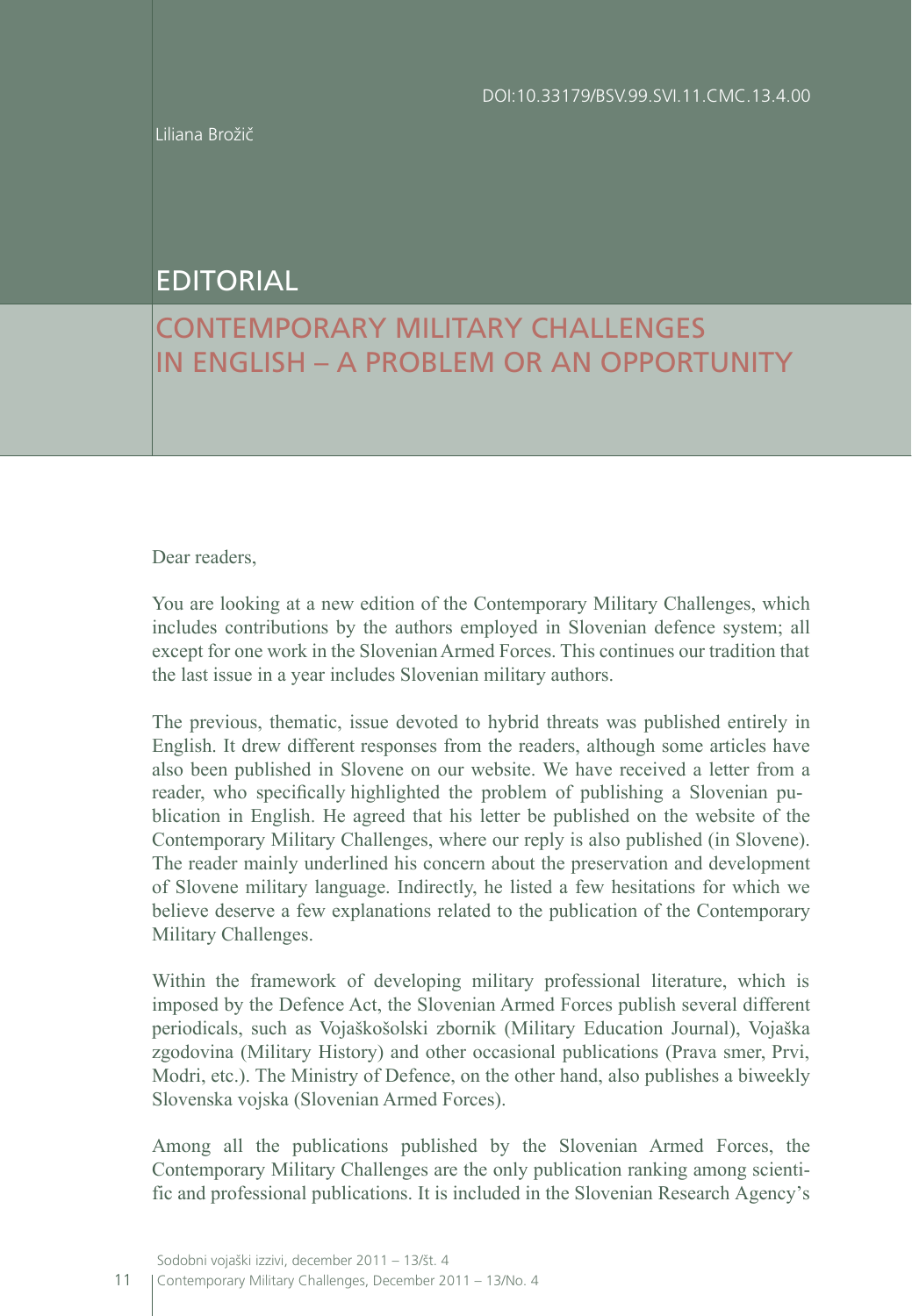Liliana Brožič

## EDITORIAL

## CONTEMPORARY MILITARY CHALLENGES IN ENGLISH – A PROBLEM OR AN OPPORTUNITY

Dear readers.

You are looking at a new edition of the Contemporary Military Challenges, which includes contributions by the authors employed in Slovenian defence system; all except for one work in the SlovenianArmed Forces. This continues our tradition that the last issue in a year includes Slovenian military authors.

The previous, thematic, issue devoted to hybrid threats was published entirely in English. It drew different responses from the readers, although some articles have also been published in Slovene on our website. We have received a letter from a reader, who specifically highlighted the problem of publishing a Slovenian publication in English. He agreed that his letter be published on the website of the Contemporary Military Challenges, where our reply is also published (in Slovene). The reader mainly underlined his concern about the preservation and development of Slovene military language. Indirectly, he listed a few hesitations for which we believe deserve a few explanations related to the publication of the Contemporary Military Challenges.

Within the framework of developing military professional literature, which is imposed by the Defence Act, the Slovenian Armed Forces publish several different periodicals, such as Vojaškošolski zbornik (Military Education Journal), Vojaška zgodovina (Military History) and other occasional publications (Prava smer, Prvi, Modri, etc.). The Ministry of Defence, on the other hand, also publishes a biweekly Slovenska vojska (Slovenian Armed Forces).

Among all the publications published by the Slovenian Armed Forces, the Contemporary Military Challenges are the only publication ranking among scientific and professional publications. It is included in the Slovenian Research Agency's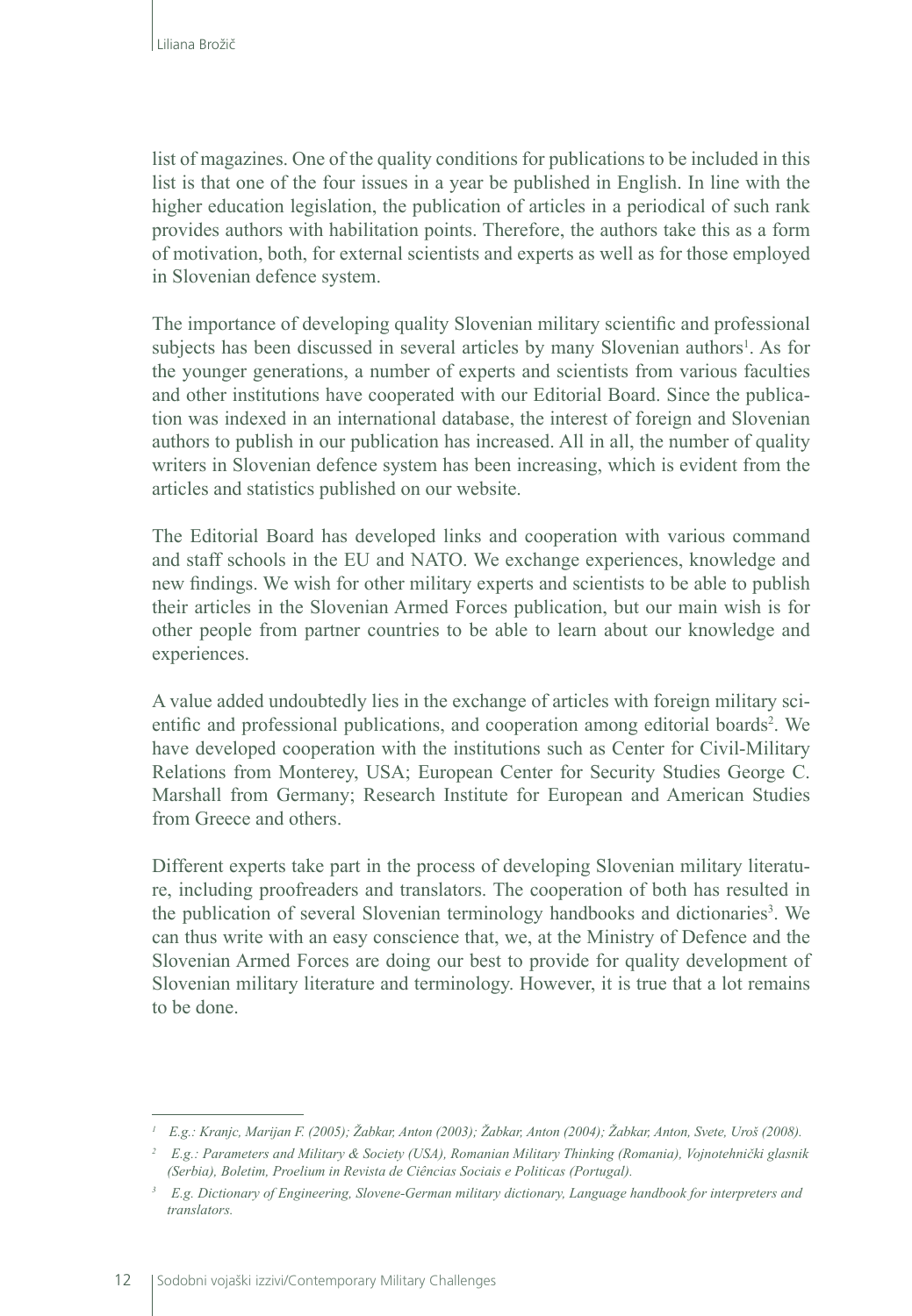list of magazines. One of the quality conditions for publications to be included in this list is that one of the four issues in a year be published in English. In line with the higher education legislation, the publication of articles in a periodical of such rank provides authors with habilitation points. Therefore, the authors take this as a form of motivation, both, for external scientists and experts as well as for those employed in Slovenian defence system.

The importance of developing quality Slovenian military scientific and professional subjects has been discussed in several articles by many Slovenian authors<sup>1</sup>. As for the younger generations, a number of experts and scientists from various faculties and other institutions have cooperated with our Editorial Board. Since the publication was indexed in an international database, the interest of foreign and Slovenian authors to publish in our publication has increased. All in all, the number of quality writers in Slovenian defence system has been increasing, which is evident from the articles and statistics published on our website.

The Editorial Board has developed links and cooperation with various command and staff schools in the EU and NATO. We exchange experiences, knowledge and new findings. We wish for other military experts and scientists to be able to publish their articles in the Slovenian Armed Forces publication, but our main wish is for other people from partner countries to be able to learn about our knowledge and experiences.

A value added undoubtedly lies in the exchange of articles with foreign military scientific and professional publications, and cooperation among editorial boards<sup>2</sup>. We have developed cooperation with the institutions such as Center for Civil-Military Relations from Monterey, USA; European Center for Security Studies George C. Marshall from Germany; Research Institute for European and American Studies from Greece and others.

Different experts take part in the process of developing Slovenian military literature, including proofreaders and translators. The cooperation of both has resulted in the publication of several Slovenian terminology handbooks and dictionaries<sup>3</sup>. We can thus write with an easy conscience that, we, at the Ministry of Defence and the Slovenian Armed Forces are doing our best to provide for quality development of Slovenian military literature and terminology. However, it is true that a lot remains to be done.

*<sup>1</sup> E.g.: Kranjc, Marijan F. (2005); Žabkar, Anton (2003); Žabkar, Anton (2004); Žabkar, Anton, Svete, Uroš (2008).*

*<sup>2</sup> E.g.: Parameters and Military & Society (USA), Romanian Military Thinking (Romania), Vojnotehnički glasnik (Serbia), Boletim, Proelium in Revista de Ciências Sociais e Politicas (Portugal).*

*<sup>3</sup> E.g. Dictionary of Engineering, Slovene-German military dictionary, Language handbook for interpreters and translators.*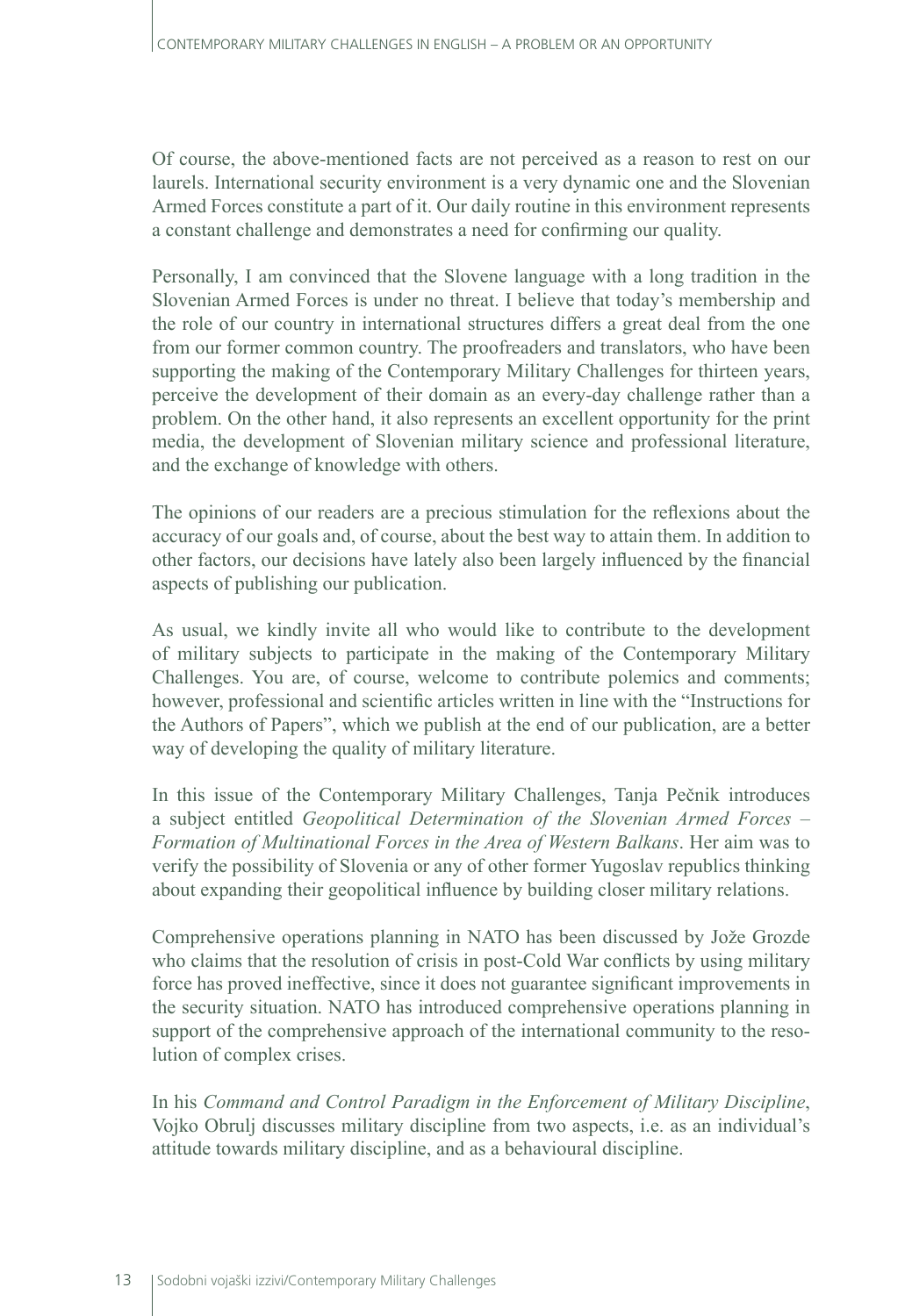Of course, the above-mentioned facts are not perceived as a reason to rest on our laurels. International security environment is a very dynamic one and the Slovenian Armed Forces constitute a part of it. Our daily routine in this environment represents a constant challenge and demonstrates a need for confirming our quality.

Personally, I am convinced that the Slovene language with a long tradition in the Slovenian Armed Forces is under no threat. I believe that today's membership and the role of our country in international structures differs a great deal from the one from our former common country. The proofreaders and translators, who have been supporting the making of the Contemporary Military Challenges for thirteen years, perceive the development of their domain as an every-day challenge rather than a problem. On the other hand, it also represents an excellent opportunity for the print media, the development of Slovenian military science and professional literature, and the exchange of knowledge with others.

The opinions of our readers are a precious stimulation for the reflexions about the accuracy of our goals and, of course, about the best way to attain them. In addition to other factors, our decisions have lately also been largely influenced by the financial aspects of publishing our publication.

As usual, we kindly invite all who would like to contribute to the development of military subjects to participate in the making of the Contemporary Military Challenges. You are, of course, welcome to contribute polemics and comments; however, professional and scientific articles written in line with the "Instructions for the Authors of Papers", which we publish at the end of our publication, are a better way of developing the quality of military literature.

In this issue of the Contemporary Military Challenges, Tanja Pečnik introduces a subject entitled *Geopolitical Determination of the Slovenian Armed Forces – Formation of Multinational Forces in the Area of Western Balkans*. Her aim was to verify the possibility of Slovenia or any of other former Yugoslav republics thinking about expanding their geopolitical influence by building closer military relations.

Comprehensive operations planning in NATO has been discussed by Jože Grozde who claims that the resolution of crisis in post-Cold War conflicts by using military force has proved ineffective, since it does not guarantee significant improvements in the security situation. NATO has introduced comprehensive operations planning in support of the comprehensive approach of the international community to the resolution of complex crises.

In his *Command and Control Paradigm in the Enforcement of Military Discipline*, Vojko Obrulj discusses military discipline from two aspects, i.e. as an individual's attitude towards military discipline, and as a behavioural discipline.